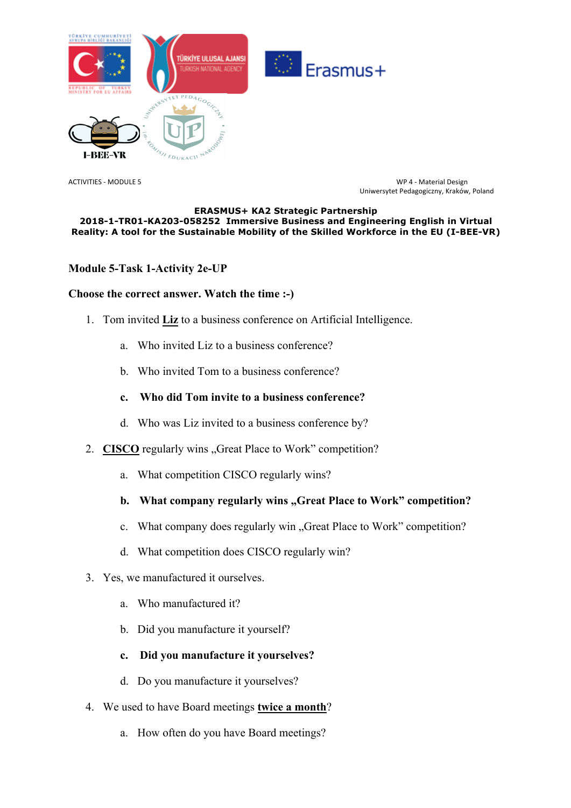

ACTIVITIES - MODULE 5 WP 4 - Material Design Uniwersytet Pedagogiczny, Kraków, Poland

#### **ERASMUS+ KA2 Strategic Partnership 2018-1-TR01-KA203-058252 Immersive Business and Engineering English in Virtual Reality: A tool for the Sustainable Mobility of the Skilled Workforce in the EU (I-BEE-VR)**

## **Module 5-Task 1-Activity 2e-UP**

### **Choose the correct answer. Watch the time :-)**

- 1. Tom invited **Liz** to a business conference on Artificial Intelligence.
	- a. Who invited Liz to a business conference?
	- b. Who invited Tom to a business conference?
	- **c. Who did Tom invite to a business conference?**
	- d. Who was Liz invited to a business conference by?
- 2. **CISCO** regularly wins "Great Place to Work" competition?
	- a. What competition CISCO regularly wins?

# **b.** What company regularly wins "Great Place to Work" competition?

- c. What company does regularly win "Great Place to Work" competition?
- d. What competition does CISCO regularly win?
- 3. Yes, we manufactured it ourselves.
	- a. Who manufactured it?
	- b. Did you manufacture it yourself?
	- **c. Did you manufacture it yourselves?**
	- d. Do you manufacture it yourselves?
- 4. We used to have Board meetings **twice a month**?
	- a. How often do you have Board meetings?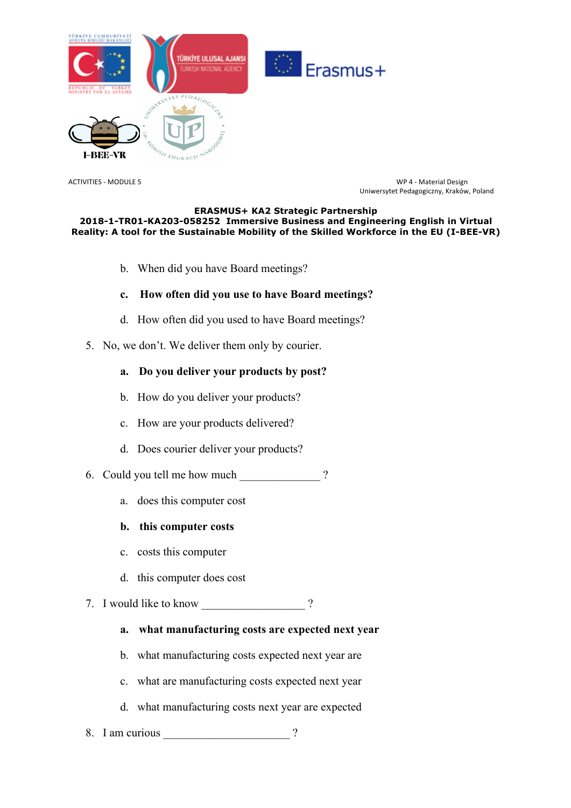

ACTIVITIES - MODULE 5 WP 4 - Material Design Uniwersytet Pedagogiczny, Kraków, Poland

#### **ERASMUS+ KA2 Strategic Partnership 2018-1-TR01-KA203-058252 Immersive Business and Engineering English in Virtual Reality: A tool for the Sustainable Mobility of the Skilled Workforce in the EU (I-BEE-VR)**

- b. When did you have Board meetings?
- **c. How often did you use to have Board meetings?**
- d. How often did you used to have Board meetings?
- 5. No, we don't. We deliver them only by courier.

## **a. Do you deliver your products by post?**

- b. How do you deliver your products?
- c. How are your products delivered?
- d. Does courier deliver your products?
- 6. Could you tell me how much 2
	- a. does this computer cost
	- **b. this computer costs**
	- c. costs this computer
	- d. this computer does cost

### 7. I would like to know ?

- **a. what manufacturing costs are expected next year**
- b. what manufacturing costs expected next year are
- c. what are manufacturing costs expected next year
- d. what manufacturing costs next year are expected
- 8. I am curious 2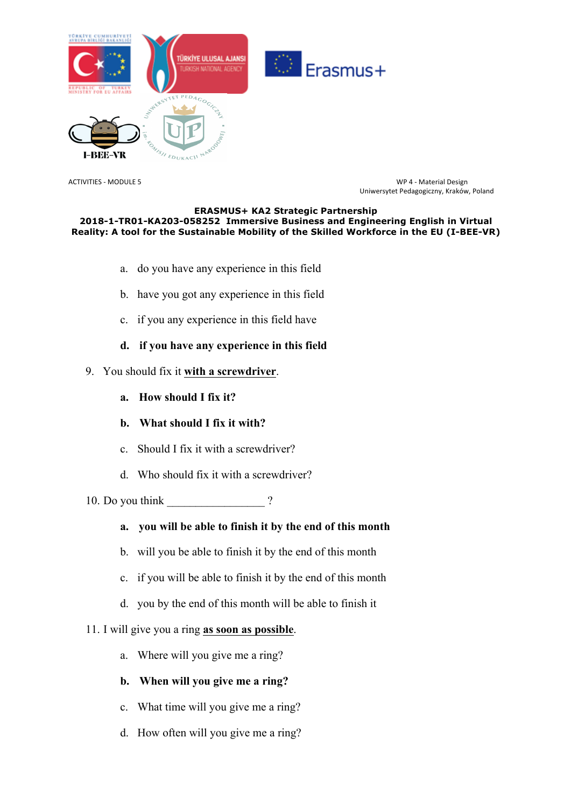

ACTIVITIES - MODULE 5 WP 4 - Material Design Uniwersytet Pedagogiczny, Kraków, Poland

#### **ERASMUS+ KA2 Strategic Partnership 2018-1-TR01-KA203-058252 Immersive Business and Engineering English in Virtual Reality: A tool for the Sustainable Mobility of the Skilled Workforce in the EU (I-BEE-VR)**

- a. do you have any experience in this field
- b. have you got any experience in this field
- c. if you any experience in this field have
- **d. if you have any experience in this field**

## 9. You should fix it **with a screwdriver**.

- **a. How should I fix it?**
- **b. What should I fix it with?**
- c. Should I fix it with a screwdriver?
- d. Who should fix it with a screwdriver?

10. Do you think  $\gamma$ 

- **a. you will be able to finish it by the end of this month**
- b. will you be able to finish it by the end of this month
- c. if you will be able to finish it by the end of this month
- d. you by the end of this month will be able to finish it

### 11. I will give you a ring **as soon as possible**.

a. Where will you give me a ring?

## **b. When will you give me a ring?**

- c. What time will you give me a ring?
- d. How often will you give me a ring?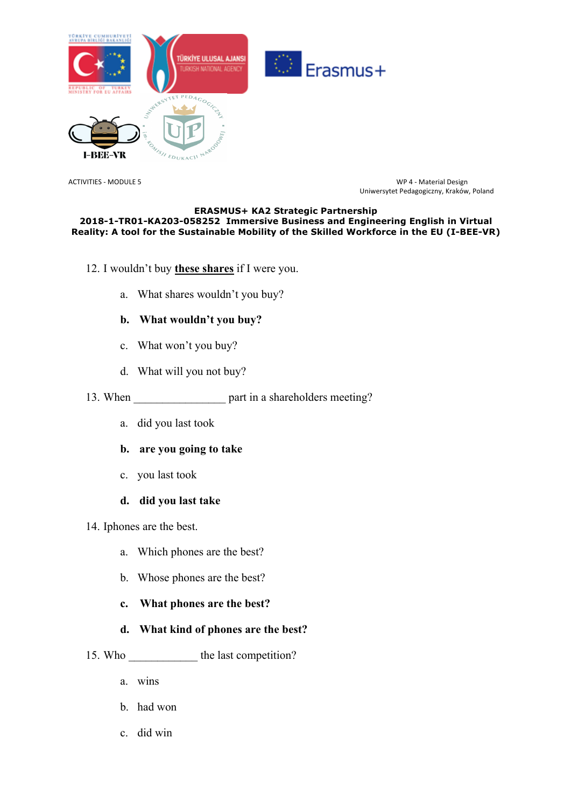

ACTIVITIES - MODULE 5 WP 4 - Material Design Uniwersytet Pedagogiczny, Kraków, Poland

#### **ERASMUS+ KA2 Strategic Partnership 2018-1-TR01-KA203-058252 Immersive Business and Engineering English in Virtual Reality: A tool for the Sustainable Mobility of the Skilled Workforce in the EU (I-BEE-VR)**

- 12. I wouldn't buy **these shares** if I were you.
	- a. What shares wouldn't you buy?

## **b. What wouldn't you buy?**

- c. What won't you buy?
- d. What will you not buy?
- 13. When <u>equal part in a shareholders meeting</u>?
	- a. did you last took

## **b. are you going to take**

c. you last took

### **d. did you last take**

14. Iphones are the best.

- a. Which phones are the best?
- b. Whose phones are the best?
- **c. What phones are the best?**

## **d. What kind of phones are the best?**

- 15. Who the last competition?
	- a. wins
	- b. had won
	- c. did win